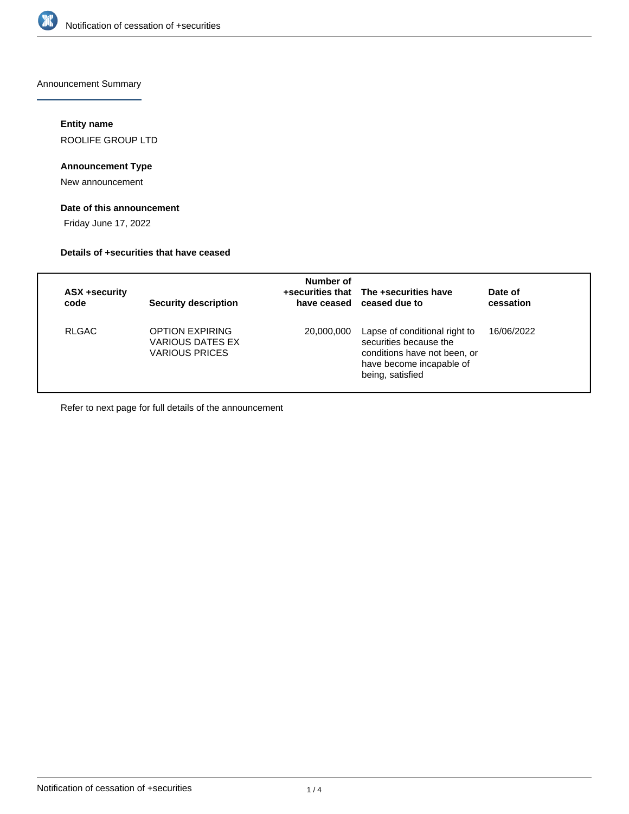

Announcement Summary

# **Entity name**

ROOLIFE GROUP LTD

# **Announcement Type**

New announcement

# **Date of this announcement**

Friday June 17, 2022

# **Details of +securities that have ceased**

| <b>ASX +security</b><br>code | <b>Security description</b>                                                | Number of  | +securities that The +securities have<br>have ceased ceased due to                                                                      | Date of<br>cessation |
|------------------------------|----------------------------------------------------------------------------|------------|-----------------------------------------------------------------------------------------------------------------------------------------|----------------------|
| <b>RLGAC</b>                 | <b>OPTION EXPIRING</b><br><b>VARIOUS DATES EX</b><br><b>VARIOUS PRICES</b> | 20,000,000 | Lapse of conditional right to<br>securities because the<br>conditions have not been, or<br>have become incapable of<br>being, satisfied | 16/06/2022           |

Refer to next page for full details of the announcement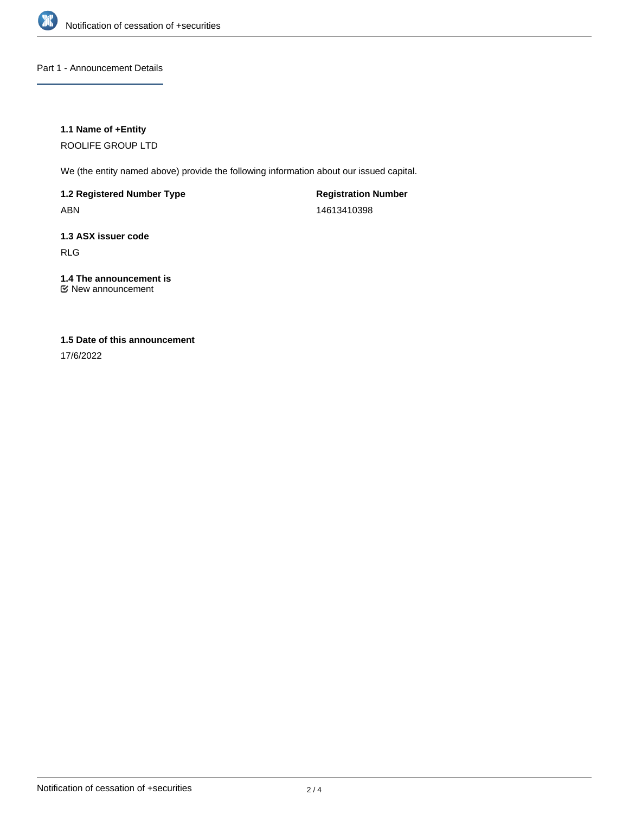

# Part 1 - Announcement Details

# **1.1 Name of +Entity**

ROOLIFE GROUP LTD

We (the entity named above) provide the following information about our issued capital.

**1.2 Registered Number Type** ABN

**Registration Number** 14613410398

# **1.3 ASX issuer code**

RLG

# **1.4 The announcement is**

New announcement

# **1.5 Date of this announcement**

17/6/2022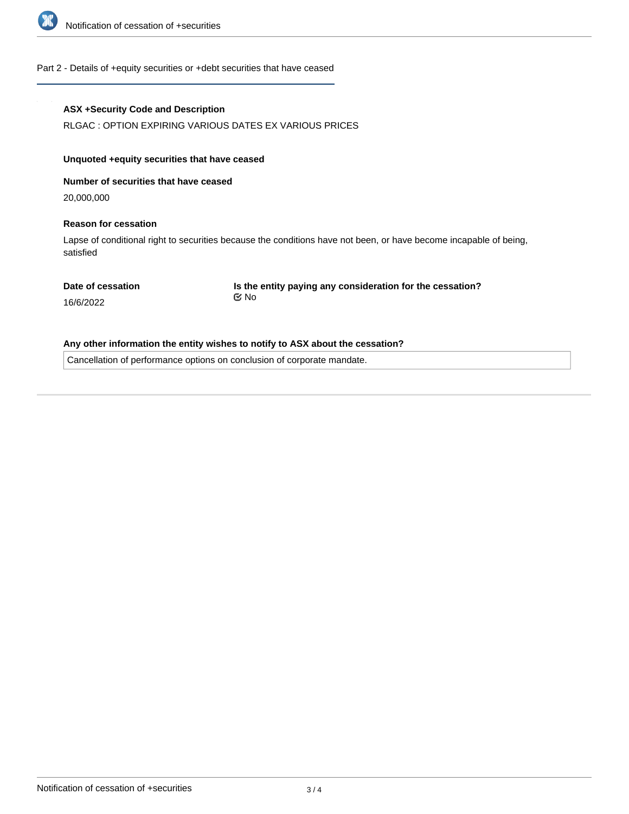

#### Part 2 - Details of +equity securities or +debt securities that have ceased

### **ASX +Security Code and Description**

RLGAC : OPTION EXPIRING VARIOUS DATES EX VARIOUS PRICES

# **Unquoted +equity securities that have ceased**

**Number of securities that have ceased**

20,000,000

#### **Reason for cessation**

Lapse of conditional right to securities because the conditions have not been, or have become incapable of being, satisfied

**Date of cessation**

**Is the entity paying any consideration for the cessation?** No

16/6/2022

#### **Any other information the entity wishes to notify to ASX about the cessation?**

Cancellation of performance options on conclusion of corporate mandate.